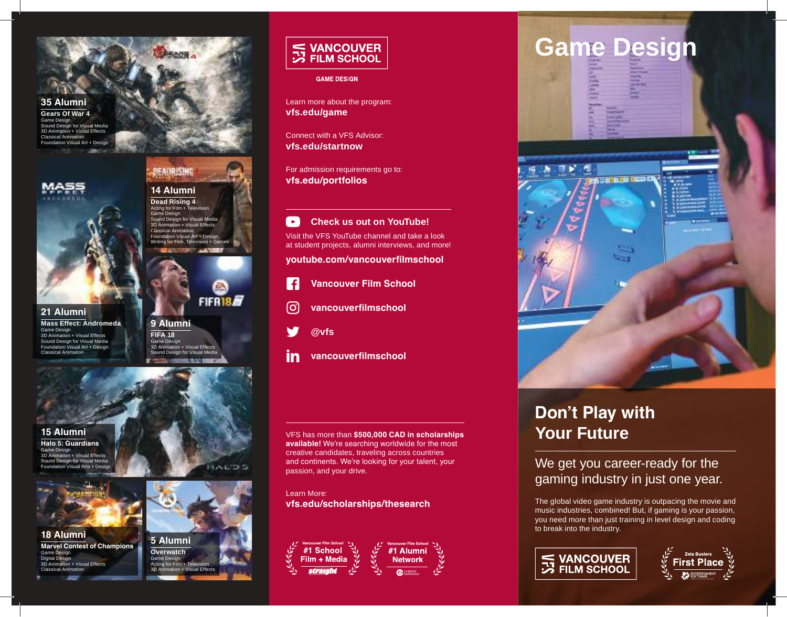**35 Alumni Gears Of War 4** Game Design Sound Design for Visual Media 3D Animation + Visual Effects Classical Animation **Fation Visual Art + Design** 





**21 Alumni Mass Effect: Andromeda**  Game Design 3D Animation + Visual Effects Sound Design for Visual Media Foundation Visual Art + Design ical Animation

FIFR18 **9 Alumni FIFA 18** Game Design 3D Animation + Visual Effects Sound Design for Visual Media

**14 Alumni Dead Rising 4** Acting for Film + Te<br>Game Design ne Design Sound Design for Visual Media 3D Animation + Visual Effects Classical Animation Foundation Visual Art + Design Writing for Film, Television + G

DEADRISING



**Halo 5: Guardians** Game Design n + Visual Effects Sound Design for Visual Media Foundation Visual Arts + Design



**18 Alumni Marvel Contest of Champions** Design Digital Desig .<br>i + Visual Effects Classical Animation



Acting for Film  $+$  Te 3D Animation + Visual Effects S VANCOUVER<br>
S FILM SCHOOL

**GAME DESIGN** 

Learn more about the program: **vfs.edu/game**

Connect with a VFS Advisor: **vfs.edu/startnow**

For admission requirements go to: **vfs.edu/portfolios**

 $\rightarrow$ **Check us out on YouTube!** Visit the VFS YouTube channel and take a look at student projects, alumni interviews, and more!

**youtube.com/vancouverfilmschool**

- **Vancouver Film School**  $\vert f \vert$
- တြ **vancouverfilmschool**
- **@vfs**
- in **vancouverfilmschool**

VFS has more than **\$500,000 CAD in scholarships available!** We're searching worldwide for the most creative candidates, traveling across countries and continents. We're looking for your talent, your passion, and your drive.

Learn More: **vfs.edu/scholarships/thesearch**





# **Don't Play with Your Future**

We get you career-ready for the gaming industry in just one year.

The global video game industry is outpacing the movie and music industries, combined! But, if gaming is your passion, you need more than just training in level design and coding to break into the industry.